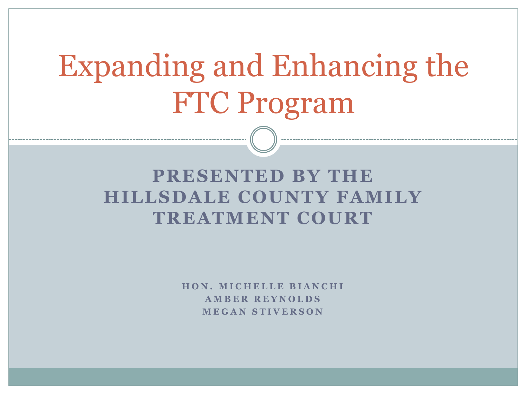# Expanding and Enhancing the FTC Program

#### **PRESENTED BY THE HILLSDALE COUNTY FAMILY TREATMENT COURT**

**H O N . M I C H E L L E B I A N C H I A M B E R R E Y N O L D S M E G A N S T I V E R S O N**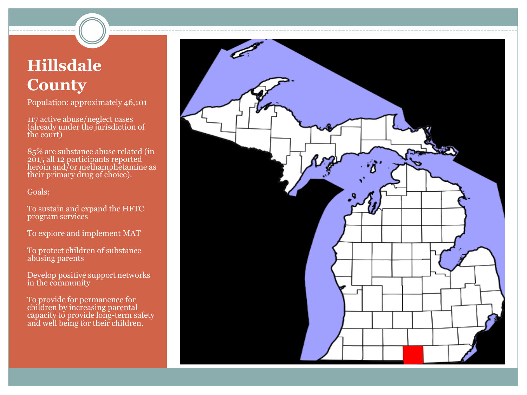#### **Hillsdale County**

Population: approximately 46,101

117 active abuse/neglect cases (already under the jurisdiction of the court)

85% are substance abuse related (in 2015 all 12 participants reported heroin and/or methamphetamine as their primary drug of choice).

Goals:

To sustain and expand the HFTC program services

To explore and implement MAT

To protect children of substance abusing parents

Develop positive support networks in the community

To provide for permanence for children by increasing parental capacity to provide long-term safety and well being for their children.

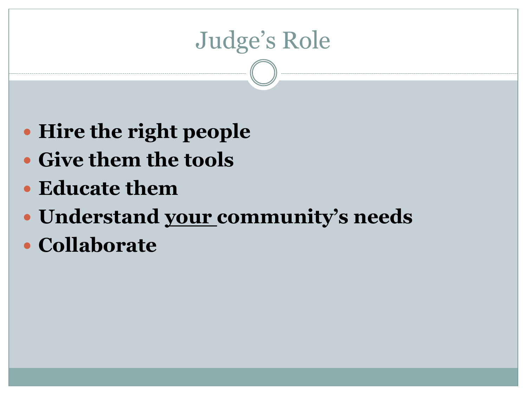# Judge's Role

- **Hire the right people**
- **Give them the tools**
- **Educate them**
- **Understand your community's needs**
- **Collaborate**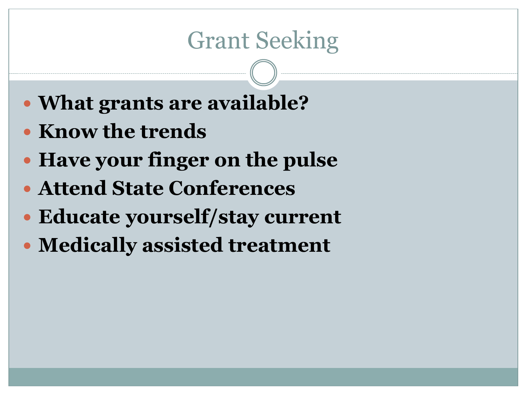# Grant Seeking

- **What grants are available?**
- **Know the trends**
- **Have your finger on the pulse**
- **Attend State Conferences**
- **Educate yourself/stay current**
- **Medically assisted treatment**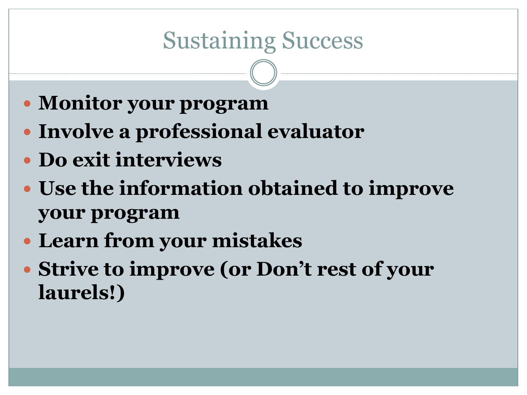# Sustaining Success

- **Monitor your program**
- **Involve a professional evaluator**
- **Do exit interviews**
- **Use the information obtained to improve your program**
- **Learn from your mistakes**
- **Strive to improve (or Don't rest of your laurels!)**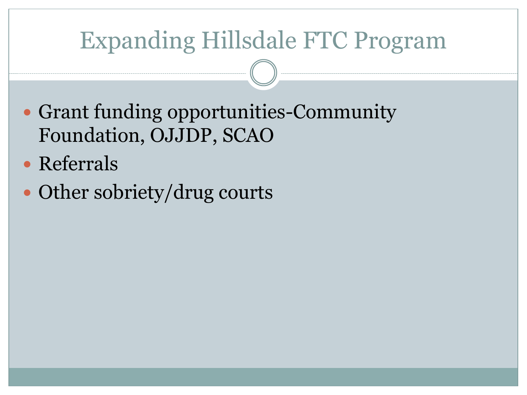# Expanding Hillsdale FTC Program

- Grant funding opportunities-Community Foundation, OJJDP, SCAO
- Referrals
- Other sobriety/drug courts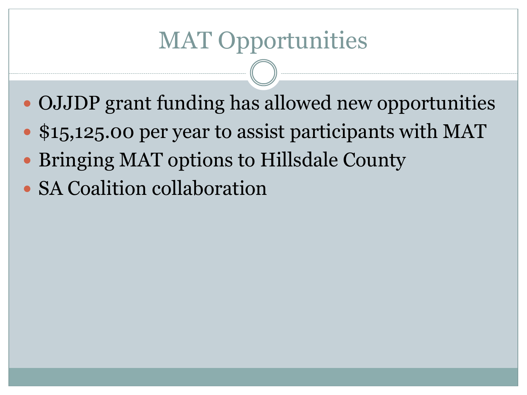# MAT Opportunities

- OJJDP grant funding has allowed new opportunities
- \$15,125.00 per year to assist participants with MAT
- Bringing MAT options to Hillsdale County
- SA Coalition collaboration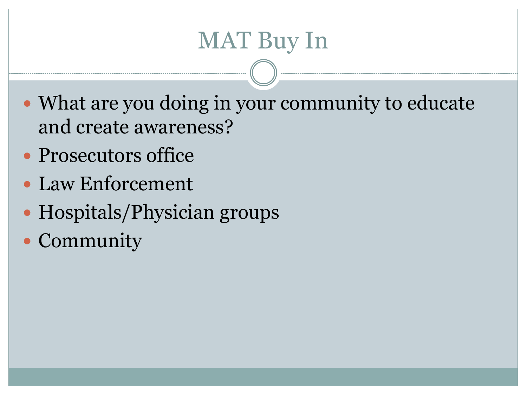# MAT Buy In

- What are you doing in your community to educate and create awareness?
- Prosecutors office
- Law Enforcement
- Hospitals/Physician groups
- Community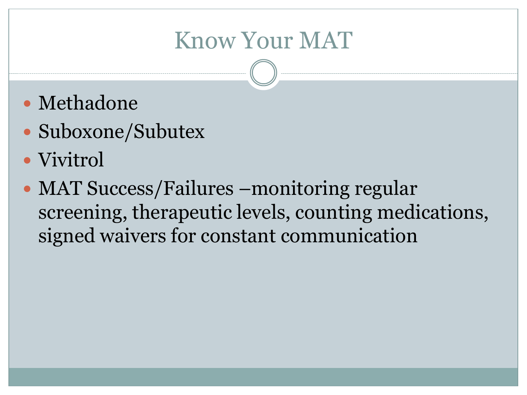### Know Your MAT

- Methadone
- Suboxone/Subutex
- Vivitrol
- MAT Success/Failures –monitoring regular screening, therapeutic levels, counting medications, signed waivers for constant communication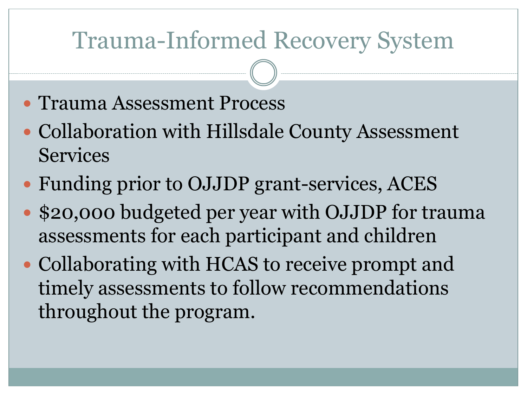### Trauma-Informed Recovery System

- Trauma Assessment Process
- Collaboration with Hillsdale County Assessment Services
- Funding prior to OJJDP grant-services, ACES
- \$20,000 budgeted per year with OJJDP for trauma assessments for each participant and children
- Collaborating with HCAS to receive prompt and timely assessments to follow recommendations throughout the program.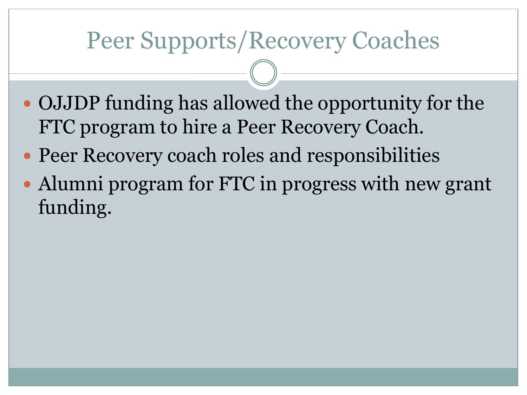### Peer Supports/Recovery Coaches

- OJJDP funding has allowed the opportunity for the FTC program to hire a Peer Recovery Coach.
- Peer Recovery coach roles and responsibilities
- Alumni program for FTC in progress with new grant funding.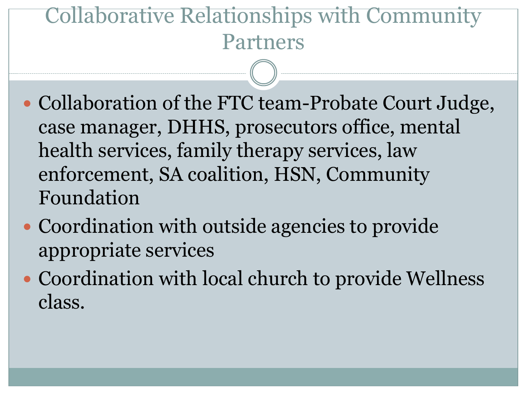#### Collaborative Relationships with Community Partners

- Collaboration of the FTC team-Probate Court Judge, case manager, DHHS, prosecutors office, mental health services, family therapy services, law enforcement, SA coalition, HSN, Community Foundation
- Coordination with outside agencies to provide appropriate services
- Coordination with local church to provide Wellness class.